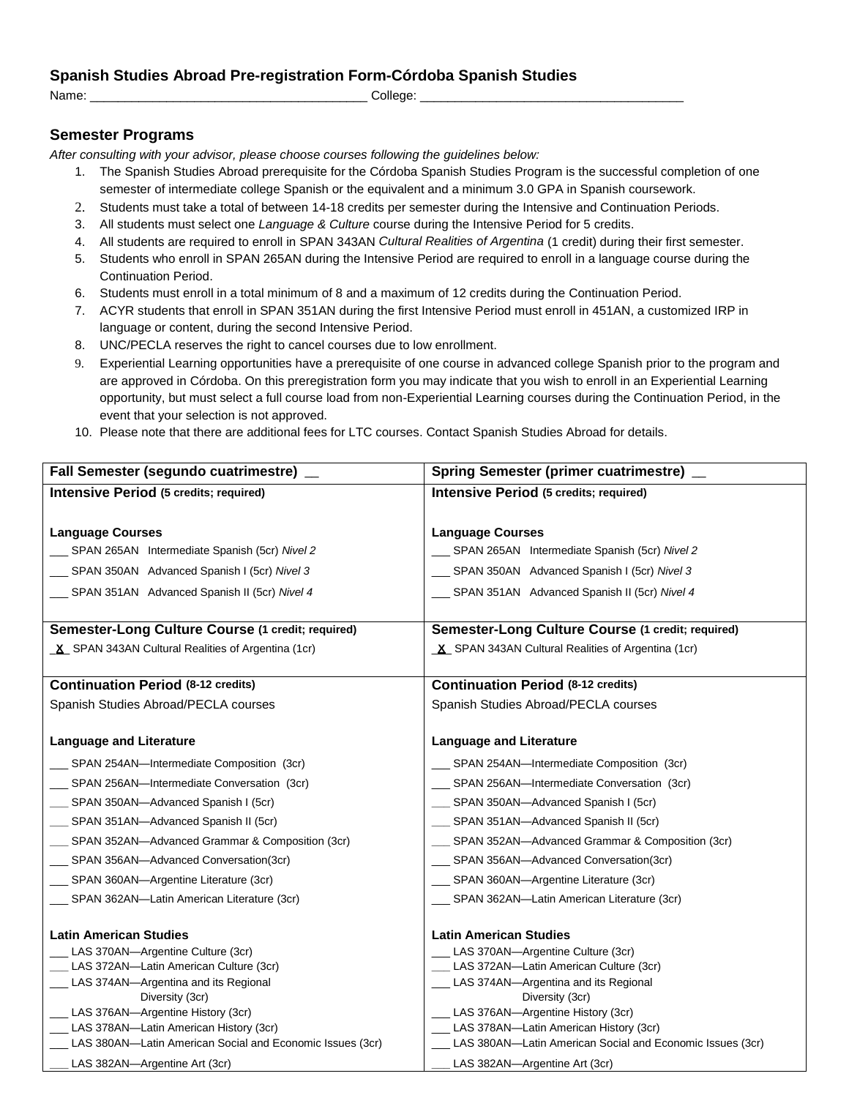## **Spanish Studies Abroad Pre-registration Form-Córdoba Spanish Studies**

Name: \_\_\_\_\_\_\_\_\_\_\_\_\_\_\_\_\_\_\_\_\_\_\_\_\_\_\_\_\_\_\_\_\_\_\_\_\_\_\_\_ College: \_\_\_\_\_\_\_\_\_\_\_\_\_\_\_\_\_\_\_\_\_\_\_\_\_\_\_\_\_\_\_\_\_\_\_\_\_\_

## **Semester Programs**

*After consulting with your advisor, please choose courses following the guidelines below:*

- 1. The Spanish Studies Abroad prerequisite for the Córdoba Spanish Studies Program is the successful completion of one semester of intermediate college Spanish or the equivalent and a minimum 3.0 GPA in Spanish coursework.
- 2. Students must take a total of between 14-18 credits per semester during the Intensive and Continuation Periods.
- 3. All students must select one *Language & Culture* course during the Intensive Period for 5 credits.
- 4. All students are required to enroll in SPAN 343AN *Cultural Realities of Argentina* (1 credit) during their first semester.
- 5. Students who enroll in SPAN 265AN during the Intensive Period are required to enroll in a language course during the Continuation Period.
- 6. Students must enroll in a total minimum of 8 and a maximum of 12 credits during the Continuation Period.
- 7. ACYR students that enroll in SPAN 351AN during the first Intensive Period must enroll in 451AN, a customized IRP in language or content, during the second Intensive Period.
- 8. UNC/PECLA reserves the right to cancel courses due to low enrollment.
- 9. Experiential Learning opportunities have a prerequisite of one course in advanced college Spanish prior to the program and are approved in Córdoba. On this preregistration form you may indicate that you wish to enroll in an Experiential Learning opportunity, but must select a full course load from non-Experiential Learning courses during the Continuation Period, in the event that your selection is not approved.
- 10. Please note that there are additional fees for LTC courses. Contact Spanish Studies Abroad for details.

| Fall Semester (segundo cuatrimestre) _                    | Spring Semester (primer cuatrimestre) _                   |
|-----------------------------------------------------------|-----------------------------------------------------------|
| <b>Intensive Period (5 credits; required)</b>             | <b>Intensive Period (5 credits; required)</b>             |
|                                                           |                                                           |
| <b>Language Courses</b>                                   | <b>Language Courses</b>                                   |
| SPAN 265AN Intermediate Spanish (5cr) Nivel 2             | SPAN 265AN Intermediate Spanish (5cr) Nivel 2             |
| SPAN 350AN Advanced Spanish I (5cr) Nivel 3               | __ SPAN 350AN Advanced Spanish I (5cr) Nivel 3            |
| SPAN 351AN Advanced Spanish II (5cr) Nivel 4              | SPAN 351AN Advanced Spanish II (5cr) Nivel 4              |
|                                                           |                                                           |
| Semester-Long Culture Course (1 credit; required)         | Semester-Long Culture Course (1 credit; required)         |
| X SPAN 343AN Cultural Realities of Argentina (1cr)        | X SPAN 343AN Cultural Realities of Argentina (1cr)        |
|                                                           |                                                           |
| <b>Continuation Period (8-12 credits)</b>                 | <b>Continuation Period (8-12 credits)</b>                 |
| Spanish Studies Abroad/PECLA courses                      | Spanish Studies Abroad/PECLA courses                      |
|                                                           | <b>Language and Literature</b>                            |
| <b>Language and Literature</b>                            |                                                           |
| SPAN 254AN-Intermediate Composition (3cr)                 | SPAN 254AN-Intermediate Composition (3cr)                 |
| __ SPAN 256AN-Intermediate Conversation (3cr)             | SPAN 256AN-Intermediate Conversation (3cr)                |
| __ SPAN 350AN-Advanced Spanish I (5cr)                    | __ SPAN 350AN-Advanced Spanish I (5cr)                    |
| SPAN 351AN-Advanced Spanish II (5cr)                      | SPAN 351AN-Advanced Spanish II (5cr)                      |
| SPAN 352AN-Advanced Grammar & Composition (3cr)           | SPAN 352AN-Advanced Grammar & Composition (3cr)           |
| __ SPAN 356AN-Advanced Conversation(3cr)                  | __ SPAN 356AN-Advanced Conversation(3cr)                  |
| __ SPAN 360AN-Argentine Literature (3cr)                  | __ SPAN 360AN-Argentine Literature (3cr)                  |
| __ SPAN 362AN-Latin American Literature (3cr)             | __ SPAN 362AN-Latin American Literature (3cr)             |
|                                                           |                                                           |
| <b>Latin American Studies</b>                             | <b>Latin American Studies</b>                             |
| LAS 370AN-Argentine Culture (3cr)                         | LAS 370AN-Argentine Culture (3cr)                         |
| LAS 372AN-Latin American Culture (3cr)                    | LAS 372AN-Latin American Culture (3cr)                    |
| LAS 374AN-Argentina and its Regional                      | LAS 374AN-Argentina and its Regional                      |
| Diversity (3cr)                                           | Diversity (3cr)                                           |
| LAS 376AN-Argentine History (3cr)                         | LAS 376AN-Argentine History (3cr)                         |
| LAS 378AN-Latin American History (3cr)                    | LAS 378AN-Latin American History (3cr)                    |
| LAS 380AN-Latin American Social and Economic Issues (3cr) | LAS 380AN-Latin American Social and Economic Issues (3cr) |
| LAS 382AN-Argentine Art (3cr)                             | LAS 382AN-Argentine Art (3cr)                             |